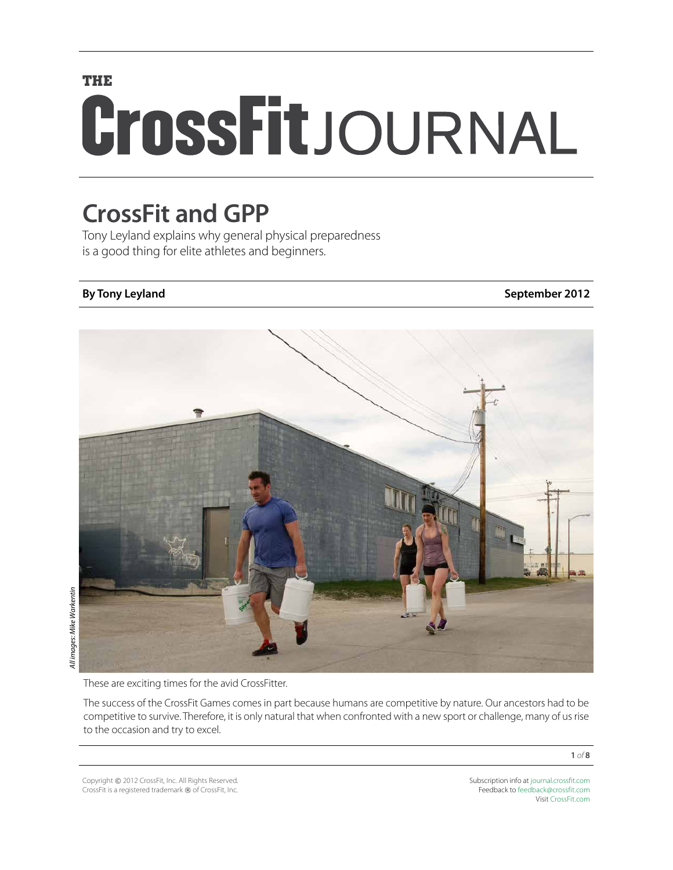# **THE** CrossFitJOURNAL

## **CrossFit and GPP**

Tony Leyland explains why general physical preparedness is a good thing for elite athletes and beginners.

**By Tony Leyland September 2012**



These are exciting times for the avid CrossFitter.

The success of the CrossFit Games comes in part because humans are competitive by nature. Our ancestors had to be competitive to survive. Therefore, it is only natural that when confronted with a new sport or challenge, many of us rise to the occasion and try to excel.

Copyright © 2012 CrossFit, Inc. All Rights Reserved. CrossFit is a registered trademark ® of CrossFit, Inc.

Subscription info at [journal.crossfit.com](http://journal.crossfit.com) Feedback to [feedback@crossfit.com](mailto:feedback@crossfit.com) Visit [CrossFit.com](http://www.crossfit.com)

**1** *of* **8**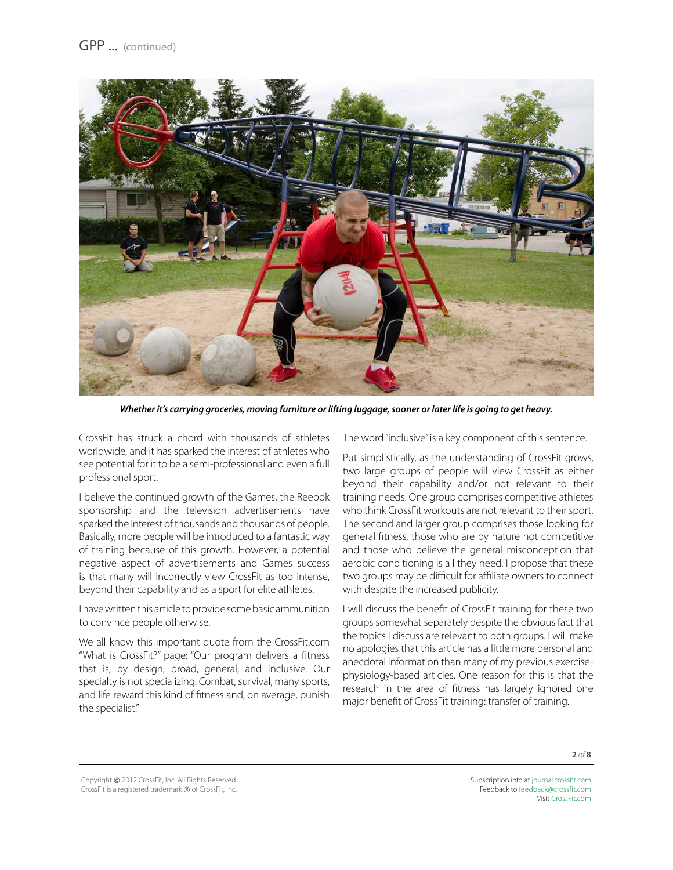

*Whether it's carrying groceries, moving furniture or lifting luggage, sooner or later life is going to get heavy.* 

CrossFit has struck a chord with thousands of athletes worldwide, and it has sparked the interest of athletes who see potential for it to be a semi-professional and even a full professional sport.

I believe the continued growth of the Games, the Reebok sponsorship and the television advertisements have sparked the interest of thousands and thousands of people. Basically, more people will be introduced to a fantastic way of training because of this growth. However, a potential negative aspect of advertisements and Games success is that many will incorrectly view CrossFit as too intense, beyond their capability and as a sport for elite athletes.

I have written this article to provide some basic ammunition to convince people otherwise.

We all know this important quote from the CrossFit.com "What is CrossFit?" page: "Our program delivers a fitness that is, by design, broad, general, and inclusive. Our specialty is not specializing. Combat, survival, many sports, and life reward this kind of fitness and, on average, punish the specialist."

The word "inclusive" is a key component of this sentence.

Put simplistically, as the understanding of CrossFit grows, two large groups of people will view CrossFit as either beyond their capability and/or not relevant to their training needs. One group comprises competitive athletes who think CrossFit workouts are not relevant to their sport. The second and larger group comprises those looking for general fitness, those who are by nature not competitive and those who believe the general misconception that aerobic conditioning is all they need. I propose that these two groups may be difficult for affiliate owners to connect with despite the increased publicity.

I will discuss the benefit of CrossFit training for these two groups somewhat separately despite the obvious fact that the topics I discuss are relevant to both groups. I will make no apologies that this article has a little more personal and anecdotal information than many of my previous exercisephysiology-based articles. One reason for this is that the research in the area of fitness has largely ignored one major benefit of CrossFit training: transfer of training.

Copyright © 2012 CrossFit, Inc. All Rights Reserved. CrossFit is a registered trademark ® of CrossFit, Inc.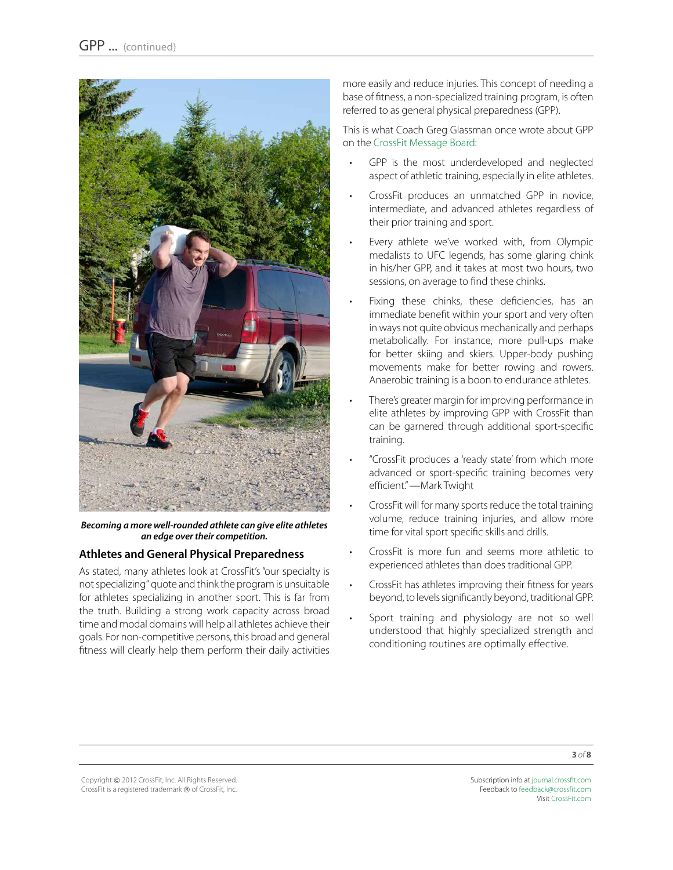

*Becoming a more well-rounded athlete can give elite athletes an edge over their competition.* 

#### **Athletes and General Physical Preparedness**

As stated, many athletes look at CrossFit's "our specialty is not specializing" quote and think the program is unsuitable for athletes specializing in another sport. This is far from the truth. Building a strong work capacity across broad time and modal domains will help all athletes achieve their goals. For non-competitive persons, this broad and general fitness will clearly help them perform their daily activities more easily and reduce injuries. This concept of needing a base of fitness, a non-specialized training program, is often referred to as general physical preparedness (GPP).

This is what Coach Greg Glassman once wrote about GPP on the [CrossFit Message Board](http://board.crossfit.com/showpost.php?p=468892&postcount=515):

- GPP is the most underdeveloped and neglected aspect of athletic training, especially in elite athletes.
- CrossFit produces an unmatched GPP in novice, intermediate, and advanced athletes regardless of their prior training and sport.
- Every athlete we've worked with, from Olympic medalists to UFC legends, has some glaring chink in his/her GPP, and it takes at most two hours, two sessions, on average to find these chinks.
- Fixing these chinks, these deficiencies, has an immediate benefit within your sport and very often in ways not quite obvious mechanically and perhaps metabolically. For instance, more pull-ups make for better skiing and skiers. Upper-body pushing movements make for better rowing and rowers. Anaerobic training is a boon to endurance athletes.
- There's greater margin for improving performance in elite athletes by improving GPP with CrossFit than can be garnered through additional sport-specific training.
- "CrossFit produces a 'ready state' from which more advanced or sport-specific training becomes very efficient." —Mark Twight
- CrossFit will for many sports reduce the total training volume, reduce training injuries, and allow more time for vital sport specific skills and drills.
- CrossFit is more fun and seems more athletic to experienced athletes than does traditional GPP.
- CrossFit has athletes improving their fitness for years beyond, to levels significantly beyond, traditional GPP.
- Sport training and physiology are not so well understood that highly specialized strength and conditioning routines are optimally effective.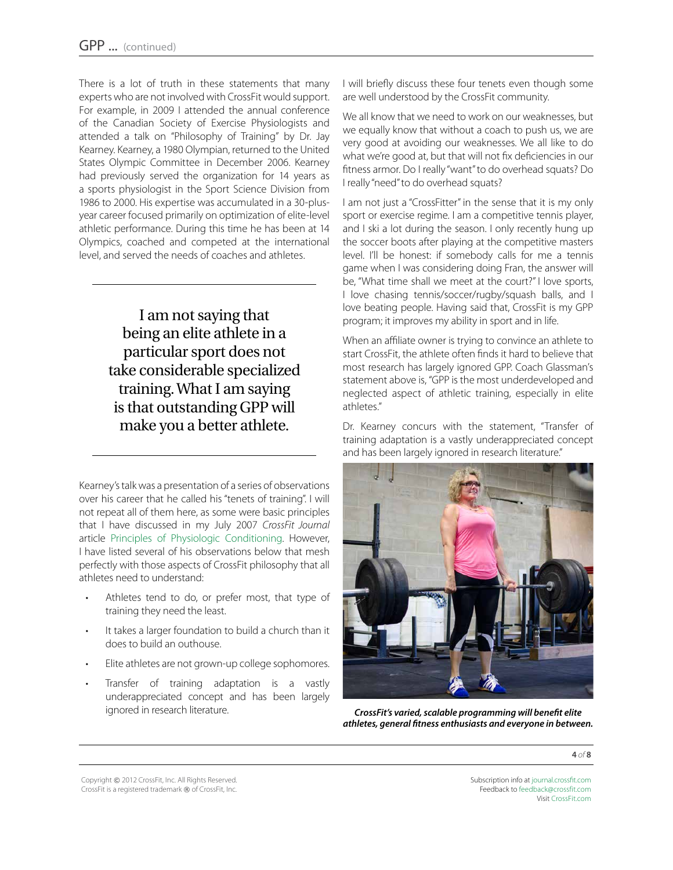There is a lot of truth in these statements that many experts who are not involved with CrossFit would support. For example, in 2009 I attended the annual conference of the Canadian Society of Exercise Physiologists and attended a talk on "Philosophy of Training" by Dr. Jay Kearney. Kearney, a 1980 Olympian, returned to the United States Olympic Committee in December 2006. Kearney had previously served the organization for 14 years as a sports physiologist in the Sport Science Division from 1986 to 2000. His expertise was accumulated in a 30-plusyear career focused primarily on optimization of elite-level athletic performance. During this time he has been at 14 Olympics, coached and competed at the international level, and served the needs of coaches and athletes.

> I am not saying that being an elite athlete in a particular sport does not take considerable specialized training. What I am saying is that outstanding GPP will make you a better athlete.

Kearney's talk was a presentation of a series of observations over his career that he called his "tenets of training". I will not repeat all of them here, as some were basic principles that I have discussed in my July 2007 *CrossFit Journal* article [Principles of Physiologic Conditioning.](http://journal.crossfit.com/2007/07/principles-of-physiologic-cond.tpl) However, I have listed several of his observations below that mesh perfectly with those aspects of CrossFit philosophy that all athletes need to understand:

- Athletes tend to do, or prefer most, that type of training they need the least.
- • It takes a larger foundation to build a church than it does to build an outhouse.
- Elite athletes are not grown-up college sophomores.
- Transfer of training adaptation is a vastly underappreciated concept and has been largely ignored in research literature.

I will briefly discuss these four tenets even though some are well understood by the CrossFit community.

We all know that we need to work on our weaknesses, but we equally know that without a coach to push us, we are very good at avoiding our weaknesses. We all like to do what we're good at, but that will not fix deficiencies in our fitness armor. Do I really "want" to do overhead squats? Do I really "need" to do overhead squats?

I am not just a "CrossFitter" in the sense that it is my only sport or exercise regime. I am a competitive tennis player, and I ski a lot during the season. I only recently hung up the soccer boots after playing at the competitive masters level. I'll be honest: if somebody calls for me a tennis game when I was considering doing Fran, the answer will be, "What time shall we meet at the court?" I love sports, I love chasing tennis/soccer/rugby/squash balls, and I love beating people. Having said that, CrossFit is my GPP program; it improves my ability in sport and in life.

When an affiliate owner is trying to convince an athlete to start CrossFit, the athlete often finds it hard to believe that most research has largely ignored GPP. Coach Glassman's statement above is, "GPP is the most underdeveloped and neglected aspect of athletic training, especially in elite athletes."

Dr. Kearney concurs with the statement, "Transfer of training adaptation is a vastly underappreciated concept and has been largely ignored in research literature."



*CrossFit's varied, scalable programming will benefit elite athletes, general fitness enthusiasts and everyone in between.*

**4** *of* **8**

Copyright © 2012 CrossFit, Inc. All Rights Reserved. CrossFit is a registered trademark ® of CrossFit, Inc.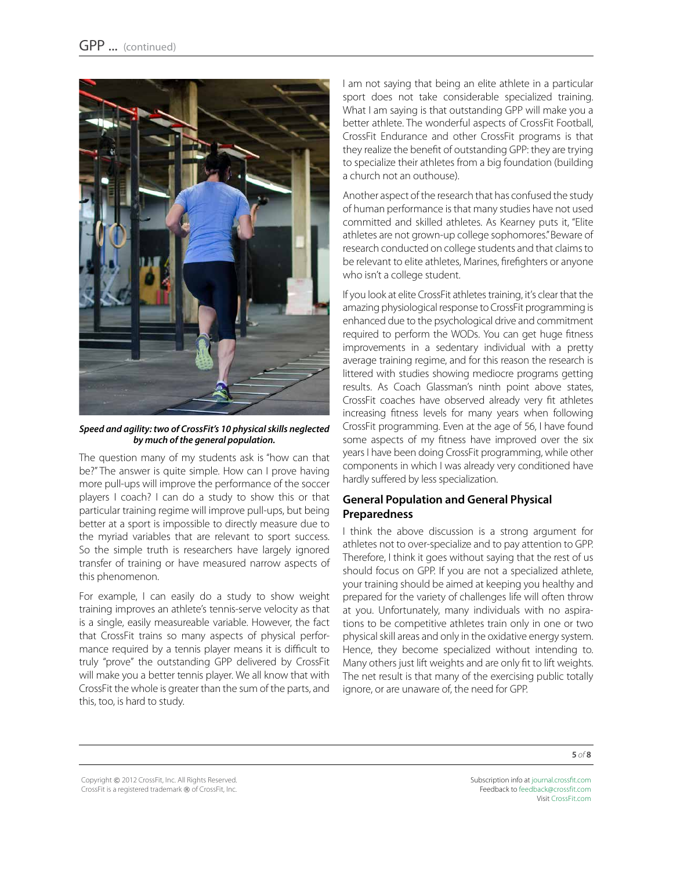

*Speed and agility: two of CrossFit's 10 physical skills neglected by much of the general population.* 

The question many of my students ask is "how can that be?" The answer is quite simple. How can I prove having more pull-ups will improve the performance of the soccer players I coach? I can do a study to show this or that particular training regime will improve pull-ups, but being better at a sport is impossible to directly measure due to the myriad variables that are relevant to sport success. So the simple truth is researchers have largely ignored transfer of training or have measured narrow aspects of this phenomenon.

For example, I can easily do a study to show weight training improves an athlete's tennis-serve velocity as that is a single, easily measureable variable. However, the fact that CrossFit trains so many aspects of physical performance required by a tennis player means it is difficult to truly "prove" the outstanding GPP delivered by CrossFit will make you a better tennis player. We all know that with CrossFit the whole is greater than the sum of the parts, and this, too, is hard to study.

I am not saying that being an elite athlete in a particular sport does not take considerable specialized training. What I am saying is that outstanding GPP will make you a better athlete. The wonderful aspects of CrossFit Football, CrossFit Endurance and other CrossFit programs is that they realize the benefit of outstanding GPP: they are trying to specialize their athletes from a big foundation (building a church not an outhouse).

Another aspect of the research that has confused the study of human performance is that many studies have not used committed and skilled athletes. As Kearney puts it, "Elite athletes are not grown-up college sophomores." Beware of research conducted on college students and that claims to be relevant to elite athletes, Marines, firefighters or anyone who isn't a college student.

If you look at elite CrossFit athletes training, it's clear that the amazing physiological response to CrossFit programming is enhanced due to the psychological drive and commitment required to perform the WODs. You can get huge fitness improvements in a sedentary individual with a pretty average training regime, and for this reason the research is littered with studies showing mediocre programs getting results. As Coach Glassman's ninth point above states, CrossFit coaches have observed already very fit athletes increasing fitness levels for many years when following CrossFit programming. Even at the age of 56, I have found some aspects of my fitness have improved over the six years I have been doing CrossFit programming, while other components in which I was already very conditioned have hardly suffered by less specialization.

### **General Population and General Physical Preparedness**

I think the above discussion is a strong argument for athletes not to over-specialize and to pay attention to GPP. Therefore, I think it goes without saying that the rest of us should focus on GPP. If you are not a specialized athlete, your training should be aimed at keeping you healthy and prepared for the variety of challenges life will often throw at you. Unfortunately, many individuals with no aspirations to be competitive athletes train only in one or two physical skill areas and only in the oxidative energy system. Hence, they become specialized without intending to. Many others just lift weights and are only fit to lift weights. The net result is that many of the exercising public totally ignore, or are unaware of, the need for GPP.

**5** *of* **8**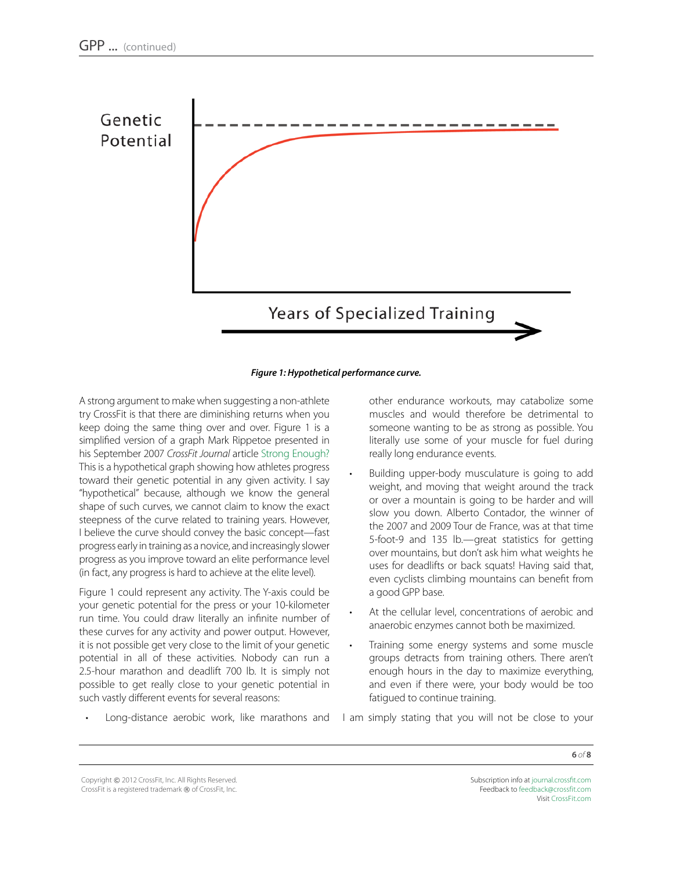

#### *Figure 1: Hypothetical performance curve.*

A strong argument to make when suggesting a non-athlete try CrossFit is that there are diminishing returns when you keep doing the same thing over and over. Figure 1 is a simplified version of a graph Mark Rippetoe presented in his September 2007 *CrossFit Journal* article [Strong Enough?](http://journal.crossfit.com/2007/09/strong-enough-by-mark-rippetoe.tpl) This is a hypothetical graph showing how athletes progress toward their genetic potential in any given activity. I say "hypothetical" because, although we know the general shape of such curves, we cannot claim to know the exact steepness of the curve related to training years. However, I believe the curve should convey the basic concept—fast progress early in training as a novice, and increasingly slower progress as you improve toward an elite performance level (in fact, any progress is hard to achieve at the elite level).

Figure 1 could represent any activity. The Y-axis could be your genetic potential for the press or your 10-kilometer run time. You could draw literally an infinite number of these curves for any activity and power output. However, it is not possible get very close to the limit of your genetic potential in all of these activities. Nobody can run a 2.5-hour marathon and deadlift 700 lb. It is simply not possible to get really close to your genetic potential in such vastly different events for several reasons:

other endurance workouts, may catabolize some muscles and would therefore be detrimental to someone wanting to be as strong as possible. You literally use some of your muscle for fuel during really long endurance events.

- Building upper-body musculature is going to add weight, and moving that weight around the track or over a mountain is going to be harder and will slow you down. Alberto Contador, the winner of the 2007 and 2009 Tour de France, was at that time 5-foot-9 and 135 lb.—great statistics for getting over mountains, but don't ask him what weights he uses for deadlifts or back squats! Having said that, even cyclists climbing mountains can benefit from a good GPP base.
- At the cellular level, concentrations of aerobic and anaerobic enzymes cannot both be maximized.
- Training some energy systems and some muscle groups detracts from training others. There aren't enough hours in the day to maximize everything, and even if there were, your body would be too fatigued to continue training.
- Long-distance aerobic work, like marathons and I am simply stating that you will not be close to your

Copyright © 2012 CrossFit, Inc. All Rights Reserved. CrossFit is a registered trademark ® of CrossFit, Inc.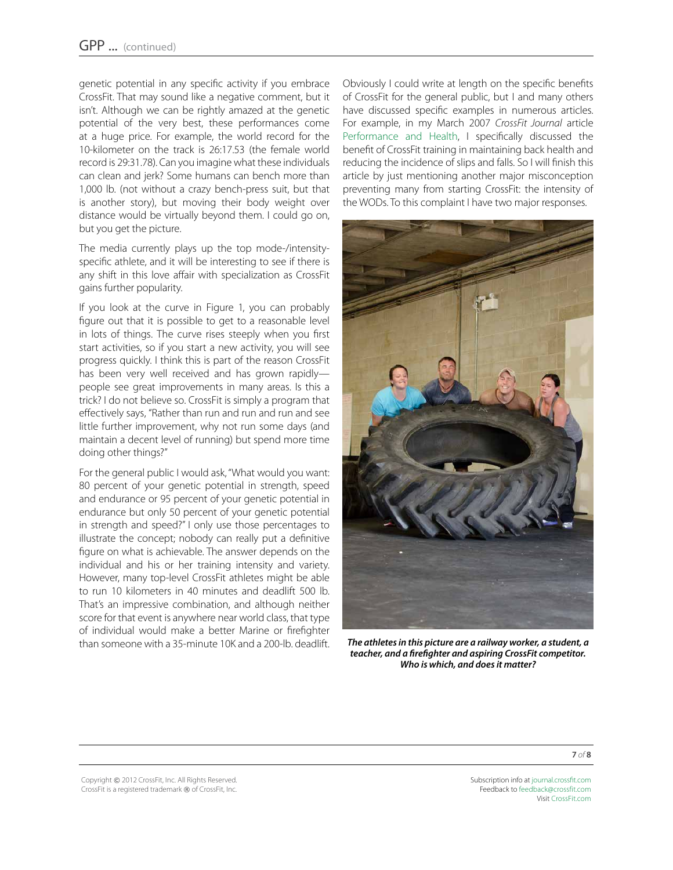genetic potential in any specific activity if you embrace CrossFit. That may sound like a negative comment, but it isn't. Although we can be rightly amazed at the genetic potential of the very best, these performances come at a huge price. For example, the world record for the 10-kilometer on the track is 26:17.53 (the female world record is 29:31.78). Can you imagine what these individuals can clean and jerk? Some humans can bench more than 1,000 lb. (not without a crazy bench-press suit, but that is another story), but moving their body weight over distance would be virtually beyond them. I could go on, but you get the picture.

The media currently plays up the top mode-/intensityspecific athlete, and it will be interesting to see if there is any shift in this love affair with specialization as CrossFit gains further popularity.

If you look at the curve in Figure 1, you can probably figure out that it is possible to get to a reasonable level in lots of things. The curve rises steeply when you first start activities, so if you start a new activity, you will see progress quickly. I think this is part of the reason CrossFit has been very well received and has grown rapidly people see great improvements in many areas. Is this a trick? I do not believe so. CrossFit is simply a program that effectively says, "Rather than run and run and run and see little further improvement, why not run some days (and maintain a decent level of running) but spend more time doing other things?"

For the general public I would ask, "What would you want: 80 percent of your genetic potential in strength, speed and endurance or 95 percent of your genetic potential in endurance but only 50 percent of your genetic potential in strength and speed?" I only use those percentages to illustrate the concept; nobody can really put a definitive figure on what is achievable. The answer depends on the individual and his or her training intensity and variety. However, many top-level CrossFit athletes might be able to run 10 kilometers in 40 minutes and deadlift 500 lb. That's an impressive combination, and although neither score for that event is anywhere near world class, that type of individual would make a better Marine or firefighter than someone with a 35-minute 10K and a 200-lb. deadlift. Obviously I could write at length on the specific benefits of CrossFit for the general public, but I and many others have discussed specific examples in numerous articles. For example, in my March 2007 *CrossFit Journal* article [Performance and Health,](http://journal.crossfit.com/2007/03/performance-health-by-tony-ley.tpl) I specifically discussed the benefit of CrossFit training in maintaining back health and reducing the incidence of slips and falls. So I will finish this article by just mentioning another major misconception preventing many from starting CrossFit: the intensity of the WODs. To this complaint I have two major responses.



*The athletes in this picture are a railway worker, a student, a teacher, and a firefighter and aspiring CrossFit competitor. Who is which, and does it matter?*

Copyright © 2012 CrossFit, Inc. All Rights Reserved. CrossFit is a registered trademark ® of CrossFit, Inc.